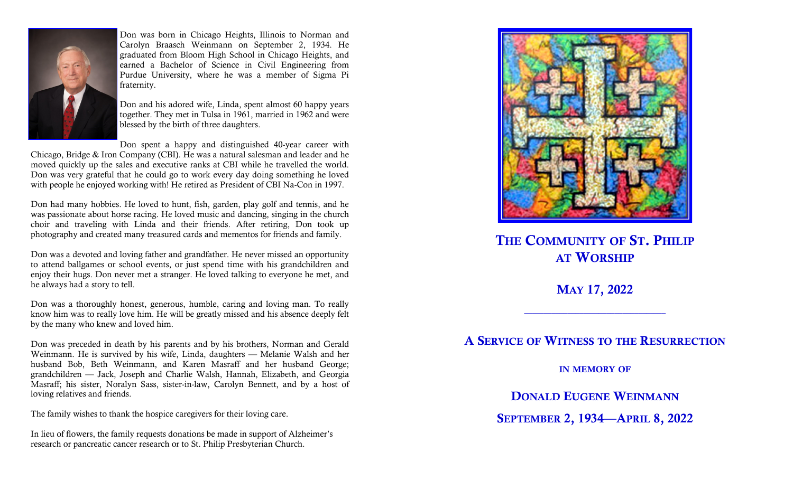

Don was born in Chicago Heights, Illinois to Norman and Carolyn Braasch Weinmann on September 2, 1934. He graduated from Bloom High School in Chicago Heights, and earned a Bachelor of Science in Civil Engineering from Purdue University, where he was a member of Sigma Pi fraternity.

Don and his adored wife, Linda, spent almost 60 happy years together. They met in Tulsa in 1961, married in 1962 and were blessed by the birth of three daughters.

Don spent a happy and distinguished 40-year career with

Chicago, Bridge & Iron Company (CBI). He was a natural salesman and leader and he moved quickly up the sales and executive ranks at CBI while he travelled the world. Don was very grateful that he could go to work every day doing something he loved with people he enjoyed working with! He retired as President of CBI Na-Con in 1997.

Don had many hobbies. He loved to hunt, fish, garden, play golf and tennis, and he was passionate about horse racing. He loved music and dancing, singing in the church choir and traveling with Linda and their friends. After retiring, Don took up photography and created many treasured cards and mementos for friends and family.

Don was a devoted and loving father and grandfather. He never missed an opportunity to attend ballgames or school events, or just spend time with his grandchildren and enjoy their hugs. Don never met a stranger. He loved talking to everyone he met, and he always had a story to tell.

Don was a thoroughly honest, generous, humble, caring and loving man. To really know him was to really love him. He will be greatly missed and his absence deeply felt by the many who knew and loved him.

Don was preceded in death by his parents and by his brothers, Norman and Gerald Weinmann. He is survived by his wife, Linda, daughters — Melanie Walsh and her husband Bob, Beth Weinmann, and Karen Masraff and her husband George; grandchildren — Jack, Joseph and Charlie Walsh, Hannah, Elizabeth, and Georgia Masraff; his sister, Noralyn Sass, sister-in-law, Carolyn Bennett, and by a host of loving relatives and friends.

The family wishes to thank the hospice caregivers for their loving care.

In lieu of flowers, the family requests donations be made in support of Alzheimer's research or pancreatic cancer research or to St. Philip Presbyterian Church.



THE COMMUNITY OF ST. PHILIP AT WORSHIP

MAY 17, 2022

 $\frac{1}{2}$  ,  $\frac{1}{2}$  ,  $\frac{1}{2}$  ,  $\frac{1}{2}$  ,  $\frac{1}{2}$  ,  $\frac{1}{2}$  ,  $\frac{1}{2}$  ,  $\frac{1}{2}$  ,  $\frac{1}{2}$  ,  $\frac{1}{2}$  ,  $\frac{1}{2}$  ,  $\frac{1}{2}$  ,  $\frac{1}{2}$  ,  $\frac{1}{2}$  ,  $\frac{1}{2}$  ,  $\frac{1}{2}$  ,  $\frac{1}{2}$  ,  $\frac{1}{2}$  ,  $\frac{1$ 

A SERVICE OF WITNESS TO THE RESURRECTION

IN MEMORY OF

DONALD EUGENE WEINMANN

SEPTEMBER 2, 1934—APRIL 8, 2022